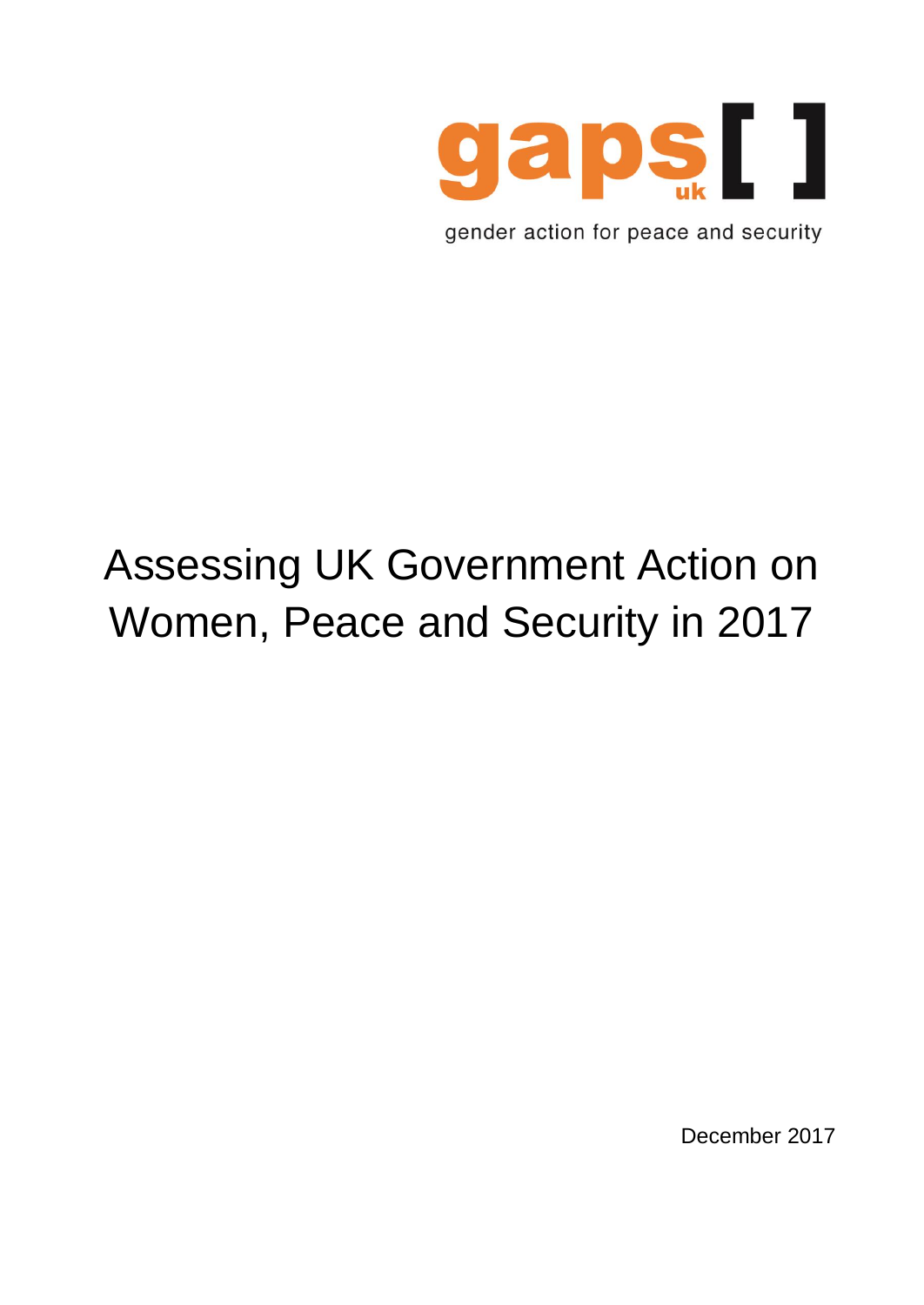

gender action for peace and security

# Assessing UK Government Action on Women, Peace and Security in 2017

December 2017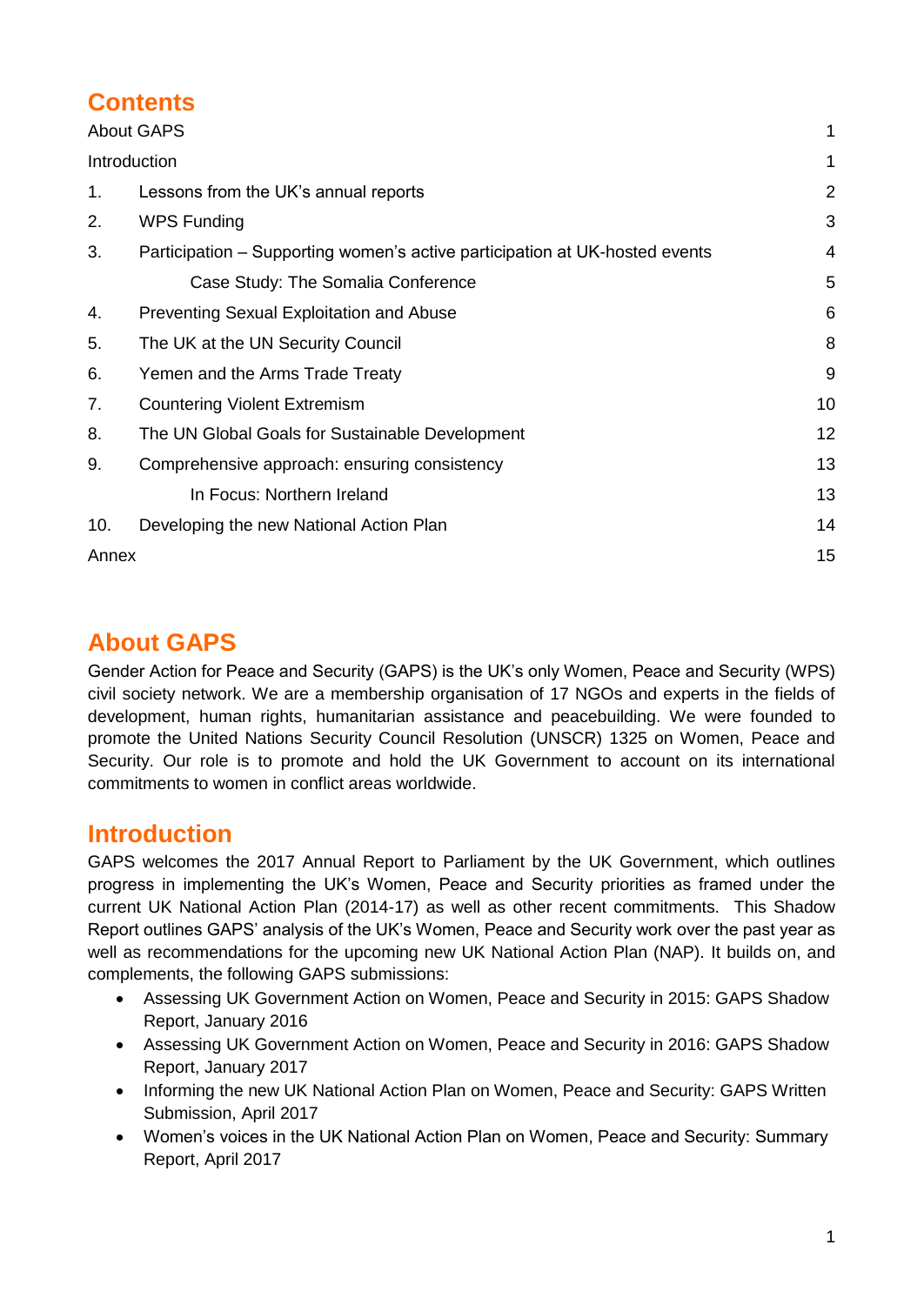# **Contents**

| <b>About GAPS</b> |                                                                             |                |
|-------------------|-----------------------------------------------------------------------------|----------------|
| Introduction      |                                                                             |                |
| 1.                | Lessons from the UK's annual reports                                        | $\overline{2}$ |
| 2.                | <b>WPS Funding</b>                                                          | 3              |
| 3.                | Participation – Supporting women's active participation at UK-hosted events | 4              |
|                   | Case Study: The Somalia Conference                                          | 5              |
| 4.                | <b>Preventing Sexual Exploitation and Abuse</b>                             | 6              |
| 5.                | The UK at the UN Security Council                                           | 8              |
| 6.                | Yemen and the Arms Trade Treaty                                             | 9              |
| 7.                | <b>Countering Violent Extremism</b>                                         | 10             |
| 8.                | The UN Global Goals for Sustainable Development                             | 12             |
| 9.                | Comprehensive approach: ensuring consistency                                | 13             |
|                   | In Focus: Northern Ireland                                                  | 13             |
| 10.               | Developing the new National Action Plan                                     | 14             |
| Annex             |                                                                             | 15             |

# <span id="page-1-0"></span>**About GAPS**

Gender Action for Peace and Security (GAPS) is the UK's only Women, Peace and Security (WPS) civil society network. We are a membership organisation of 17 NGOs and experts in the fields of development, human rights, humanitarian assistance and peacebuilding. We were founded to promote the United Nations Security Council Resolution (UNSCR) 1325 on Women, Peace and Security. Our role is to promote and hold the UK Government to account on its international commitments to women in conflict areas worldwide.

### <span id="page-1-1"></span>**Introduction**

GAPS welcomes the 2017 Annual Report to Parliament by the UK Government, which outlines progress in implementing the UK's Women, Peace and Security priorities as framed under the current UK National Action Plan (2014-17) as well as other recent commitments. This Shadow Report outlines GAPS' analysis of the UK's Women, Peace and Security work over the past year as well as recommendations for the upcoming new UK National Action Plan (NAP). It builds on, and complements, the following GAPS submissions:

- Assessing UK Government Action on Women, Peace and Security in 2015: GAPS Shadow Report, January 2016
- Assessing UK Government Action on Women, Peace and Security in 2016: GAPS Shadow Report, January 2017
- Informing the new UK National Action Plan on Women, Peace and Security: GAPS Written Submission, April 2017
- Women's voices in the UK National Action Plan on Women, Peace and Security: Summary Report, April 2017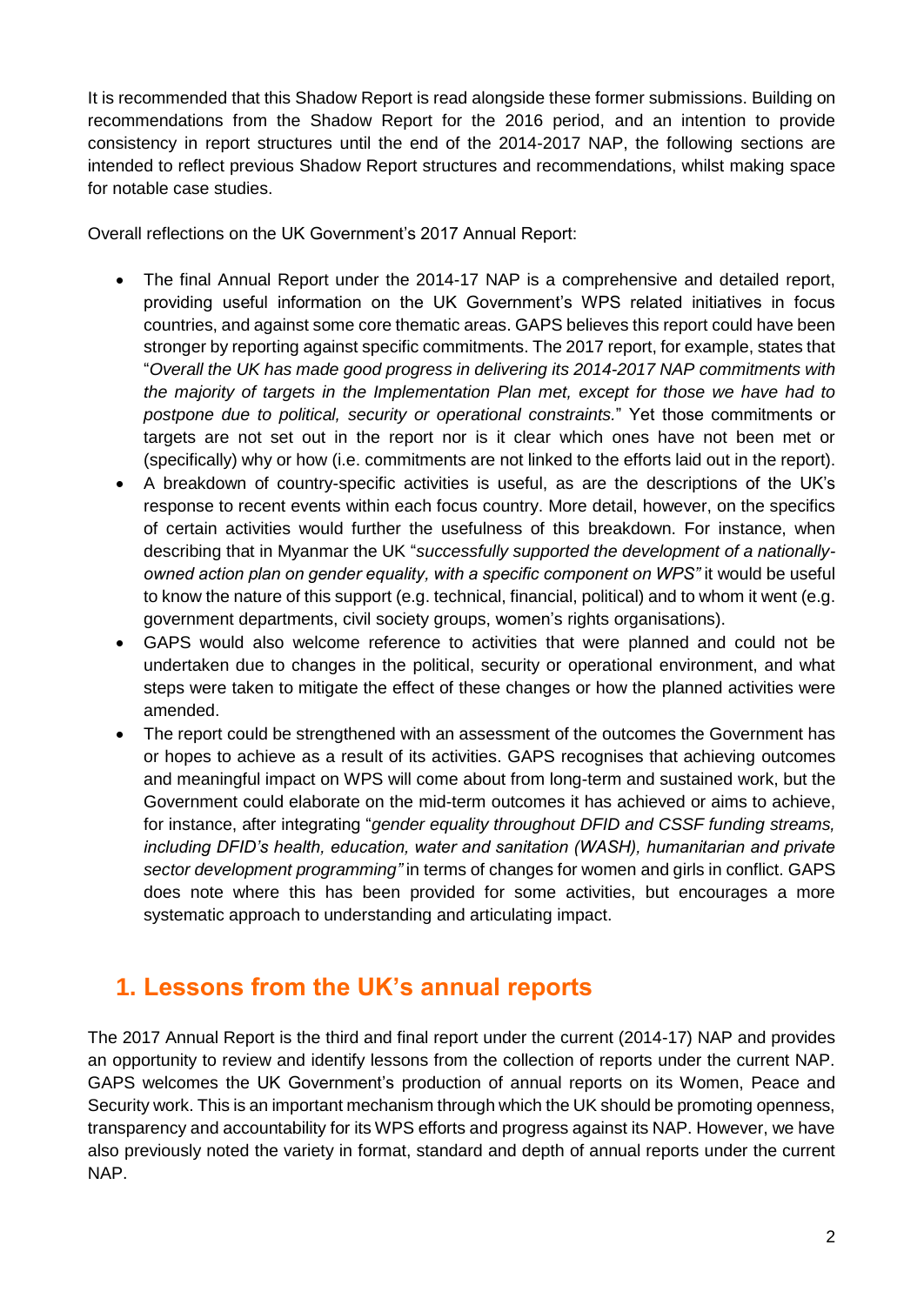It is recommended that this Shadow Report is read alongside these former submissions. Building on recommendations from the Shadow Report for the 2016 period, and an intention to provide consistency in report structures until the end of the 2014-2017 NAP, the following sections are intended to reflect previous Shadow Report structures and recommendations, whilst making space for notable case studies.

Overall reflections on the UK Government's 2017 Annual Report:

- The final Annual Report under the 2014-17 NAP is a comprehensive and detailed report, providing useful information on the UK Government's WPS related initiatives in focus countries, and against some core thematic areas. GAPS believes this report could have been stronger by reporting against specific commitments. The 2017 report, for example, states that "*Overall the UK has made good progress in delivering its 2014-2017 NAP commitments with the majority of targets in the Implementation Plan met, except for those we have had to postpone due to political, security or operational constraints.*" Yet those commitments or targets are not set out in the report nor is it clear which ones have not been met or (specifically) why or how (i.e. commitments are not linked to the efforts laid out in the report).
- A breakdown of country-specific activities is useful, as are the descriptions of the UK's response to recent events within each focus country. More detail, however, on the specifics of certain activities would further the usefulness of this breakdown. For instance, when describing that in Myanmar the UK "*successfully supported the development of a nationallyowned action plan on gender equality, with a specific component on WPS"* it would be useful to know the nature of this support (e.g. technical, financial, political) and to whom it went (e.g. government departments, civil society groups, women's rights organisations).
- GAPS would also welcome reference to activities that were planned and could not be undertaken due to changes in the political, security or operational environment, and what steps were taken to mitigate the effect of these changes or how the planned activities were amended.
- The report could be strengthened with an assessment of the outcomes the Government has or hopes to achieve as a result of its activities. GAPS recognises that achieving outcomes and meaningful impact on WPS will come about from long-term and sustained work, but the Government could elaborate on the mid-term outcomes it has achieved or aims to achieve, for instance, after integrating "*gender equality throughout DFID and CSSF funding streams, including DFID's health, education, water and sanitation (WASH), humanitarian and private sector development programming"* in terms of changes for women and girls in conflict. GAPS does note where this has been provided for some activities, but encourages a more systematic approach to understanding and articulating impact.

# <span id="page-2-0"></span>**1. Lessons from the UK's annual reports**

The 2017 Annual Report is the third and final report under the current (2014-17) NAP and provides an opportunity to review and identify lessons from the collection of reports under the current NAP. GAPS welcomes the UK Government's production of annual reports on its Women, Peace and Security work. This is an important mechanism through which the UK should be promoting openness, transparency and accountability for its WPS efforts and progress against its NAP. However, we have also previously noted the variety in format, standard and depth of annual reports under the current NAP.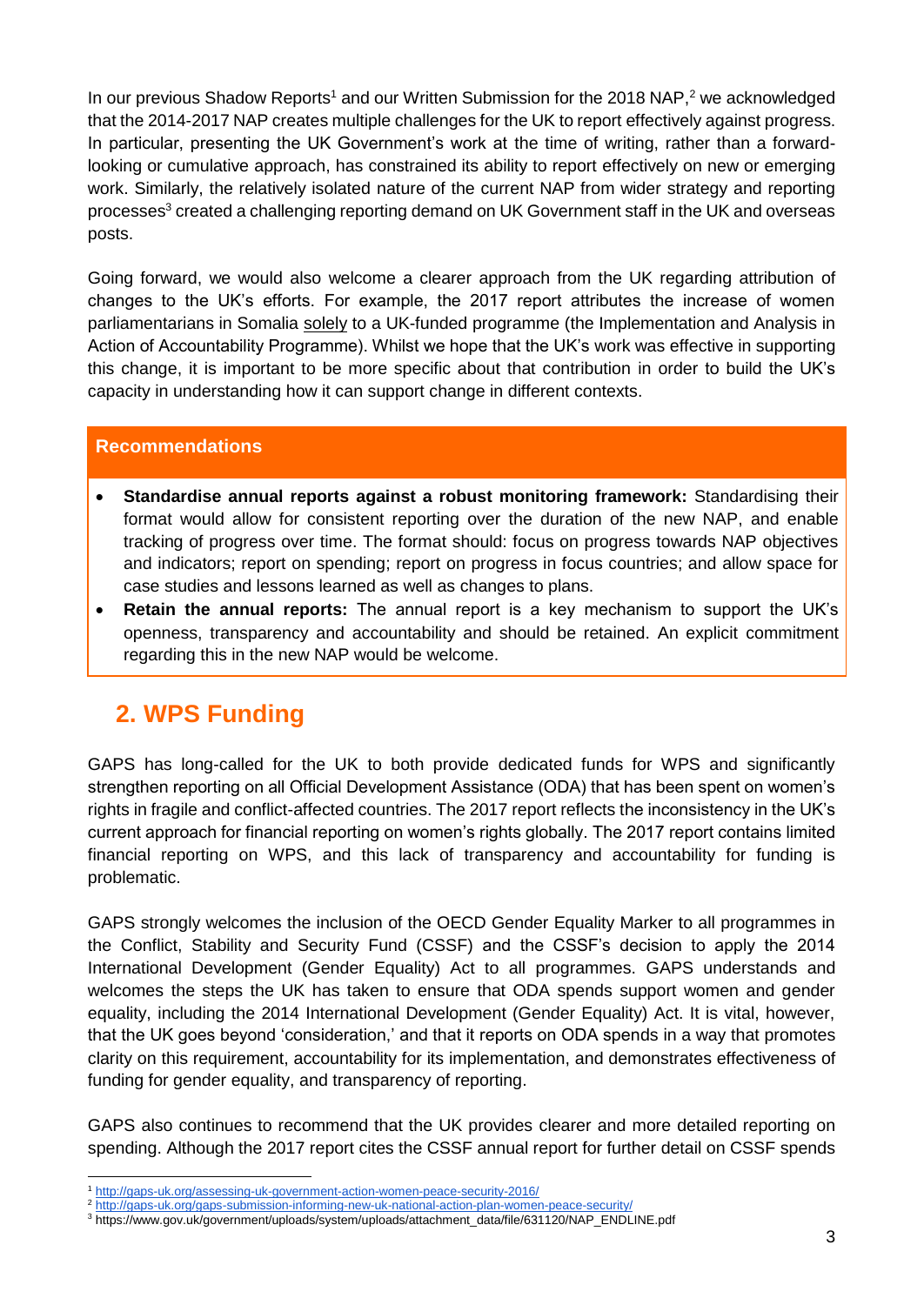In our previous Shadow Reports<sup>1</sup> and our Written Submission for the 2018 NAP,<sup>2</sup> we acknowledged that the 2014-2017 NAP creates multiple challenges for the UK to report effectively against progress. In particular, presenting the UK Government's work at the time of writing, rather than a forwardlooking or cumulative approach, has constrained its ability to report effectively on new or emerging work. Similarly, the relatively isolated nature of the current NAP from wider strategy and reporting processes<sup>3</sup> created a challenging reporting demand on UK Government staff in the UK and overseas posts.

Going forward, we would also welcome a clearer approach from the UK regarding attribution of changes to the UK's efforts. For example, the 2017 report attributes the increase of women parliamentarians in Somalia solely to a UK-funded programme (the Implementation and Analysis in Action of Accountability Programme). Whilst we hope that the UK's work was effective in supporting this change, it is important to be more specific about that contribution in order to build the UK's capacity in understanding how it can support change in different contexts.

### **Recommendations**

- **Standardise annual reports against a robust monitoring framework:** Standardising their format would allow for consistent reporting over the duration of the new NAP, and enable tracking of progress over time. The format should: focus on progress towards NAP objectives and indicators; report on spending; report on progress in focus countries; and allow space for case studies and lessons learned as well as changes to plans.
- **Retain the annual reports:** The annual report is a key mechanism to support the UK's openness, transparency and accountability and should be retained. An explicit commitment regarding this in the new NAP would be welcome.

### <span id="page-3-0"></span>**2. WPS Funding**

GAPS has long-called for the UK to both provide dedicated funds for WPS and significantly strengthen reporting on all Official Development Assistance (ODA) that has been spent on women's rights in fragile and conflict-affected countries. The 2017 report reflects the inconsistency in the UK's current approach for financial reporting on women's rights globally. The 2017 report contains limited financial reporting on WPS, and this lack of transparency and accountability for funding is problematic.

GAPS strongly welcomes the inclusion of the OECD Gender Equality Marker to all programmes in the Conflict, Stability and Security Fund (CSSF) and the CSSF's decision to apply the 2014 International Development (Gender Equality) Act to all programmes. GAPS understands and welcomes the steps the UK has taken to ensure that ODA spends support women and gender equality, including the 2014 International Development (Gender Equality) Act. It is vital, however, that the UK goes beyond 'consideration,' and that it reports on ODA spends in a way that promotes clarity on this requirement, accountability for its implementation, and demonstrates effectiveness of funding for gender equality, and transparency of reporting.

GAPS also continues to recommend that the UK provides clearer and more detailed reporting on spending. Although the 2017 report cites the CSSF annual report for further detail on CSSF spends

<sup>-</sup><sup>1</sup> <http://gaps-uk.org/assessing-uk-government-action-women-peace-security-2016/>

<sup>2</sup> <http://gaps-uk.org/gaps-submission-informing-new-uk-national-action-plan-women-peace-security/>

<sup>3</sup> https://www.gov.uk/government/uploads/system/uploads/attachment\_data/file/631120/NAP\_ENDLINE.pdf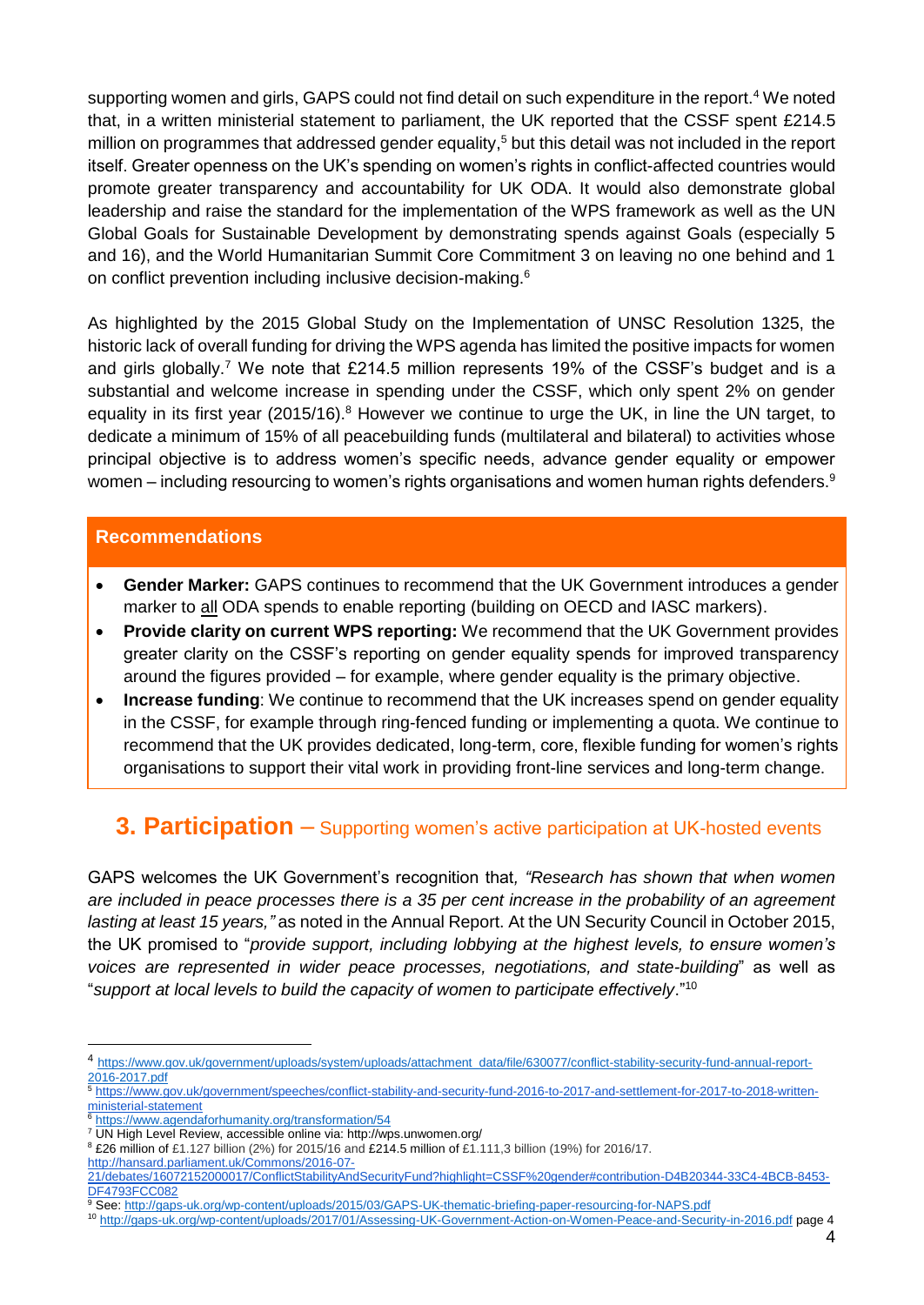supporting women and girls, GAPS could not find detail on such expenditure in the report.<sup>4</sup> We noted that, in a written ministerial statement to parliament, the UK reported that the CSSF spent £214.5 million on programmes that addressed gender equality, <sup>5</sup> but this detail was not included in the report itself. Greater openness on the UK's spending on women's rights in conflict-affected countries would promote greater transparency and accountability for UK ODA. It would also demonstrate global leadership and raise the standard for the implementation of the WPS framework as well as the UN Global Goals for Sustainable Development by demonstrating spends against Goals (especially 5 and 16), and the World Humanitarian Summit Core Commitment 3 on leaving no one behind and 1 on conflict prevention including inclusive decision-making.<sup>6</sup>

As highlighted by the 2015 Global Study on the Implementation of UNSC Resolution 1325, the historic lack of overall funding for driving the WPS agenda has limited the positive impacts for women and girls globally.<sup>7</sup> We note that £214.5 million represents 19% of the CSSF's budget and is a substantial and welcome increase in spending under the CSSF, which only spent 2% on gender equality in its first year (2015/16).<sup>8</sup> However we continue to urge the UK, in line the UN target, to dedicate a minimum of 15% of all peacebuilding funds (multilateral and bilateral) to activities whose principal objective is to address women's specific needs, advance gender equality or empower women – including resourcing to women's rights organisations and women human rights defenders.<sup>9</sup>

### **Recommendations**

- **Gender Marker:** GAPS continues to recommend that the UK Government introduces a gender marker to all ODA spends to enable reporting (building on OECD and IASC markers).
- **Provide clarity on current WPS reporting:** We recommend that the UK Government provides greater clarity on the CSSF's reporting on gender equality spends for improved transparency around the figures provided – for example, where gender equality is the primary objective.
- **Increase funding**: We continue to recommend that the UK increases spend on gender equality in the CSSF, for example through ring-fenced funding or implementing a quota. We continue to recommend that the UK provides dedicated, long-term, core, flexible funding for women's rights organisations to support their vital work in providing front-line services and long-term change.

### <span id="page-4-0"></span>**3. Participation** – Supporting women's active participation at UK-hosted events

GAPS welcomes the UK Government's recognition that*, "Research has shown that when women are included in peace processes there is a 35 per cent increase in the probability of an agreement lasting at least 15 years,"* as noted in the Annual Report. At the UN Security Council in October 2015, the UK promised to "*provide support, including lobbying at the highest levels, to ensure women's voices are represented in wider peace processes, negotiations, and state-building*" as well as "*support at local levels to build the capacity of women to participate effectively*." 10

<sup>4</sup> [https://www.gov.uk/government/uploads/system/uploads/attachment\\_data/file/630077/conflict-stability-security-fund-annual-report-](https://www.gov.uk/government/uploads/system/uploads/attachment_data/file/630077/conflict-stability-security-fund-annual-report-2016-2017.pdf)[2016-2017.pdf](https://www.gov.uk/government/uploads/system/uploads/attachment_data/file/630077/conflict-stability-security-fund-annual-report-2016-2017.pdf)

<sup>5</sup> [https://www.gov.uk/government/speeches/conflict-stability-and-security-fund-2016-to-2017-and-settlement-for-2017-to-2018-written](https://www.gov.uk/government/speeches/conflict-stability-and-security-fund-2016-to-2017-and-settlement-for-2017-to-2018-written-ministerial-statement)[ministerial-statement](https://www.gov.uk/government/speeches/conflict-stability-and-security-fund-2016-to-2017-and-settlement-for-2017-to-2018-written-ministerial-statement)

<sup>6</sup> <https://www.agendaforhumanity.org/transformation/54>

<sup>7</sup> UN High Level Review, accessible online via: http://wps.unwomen.org/

<sup>8</sup> £26 million of £1.127 billion (2%) for 2015/16 and £214.5 million of £1.111,3 billion (19%) for 2016/17.

[http://hansard.parliament.uk/Commons/2016-07-](http://hansard.parliament.uk/Commons/2016-07-21/debates/16072152000017/ConflictStabilityAndSecurityFund?highlight=CSSF%20gender#contribution-D4B20344-33C4-4BCB-8453-DF4793FCC082)

[<sup>21/</sup>debates/16072152000017/ConflictStabilityAndSecurityFund?highlight=CSSF%20gender#contribution-D4B20344-33C4-4BCB-8453-](http://hansard.parliament.uk/Commons/2016-07-21/debates/16072152000017/ConflictStabilityAndSecurityFund?highlight=CSSF%20gender#contribution-D4B20344-33C4-4BCB-8453-DF4793FCC082) [DF4793FCC082](http://hansard.parliament.uk/Commons/2016-07-21/debates/16072152000017/ConflictStabilityAndSecurityFund?highlight=CSSF%20gender#contribution-D4B20344-33C4-4BCB-8453-DF4793FCC082)

<sup>9</sup> See[: http://gaps-uk.org/wp-content/uploads/2015/03/GAPS-UK-thematic-briefing-paper-resourcing-for-NAPS.pdf](http://gaps-uk.org/wp-content/uploads/2015/03/GAPS-UK-thematic-briefing-paper-resourcing-for-NAPS.pdf)

<sup>10</sup> <http://gaps-uk.org/wp-content/uploads/2017/01/Assessing-UK-Government-Action-on-Women-Peace-and-Security-in-2016.pdf> page 4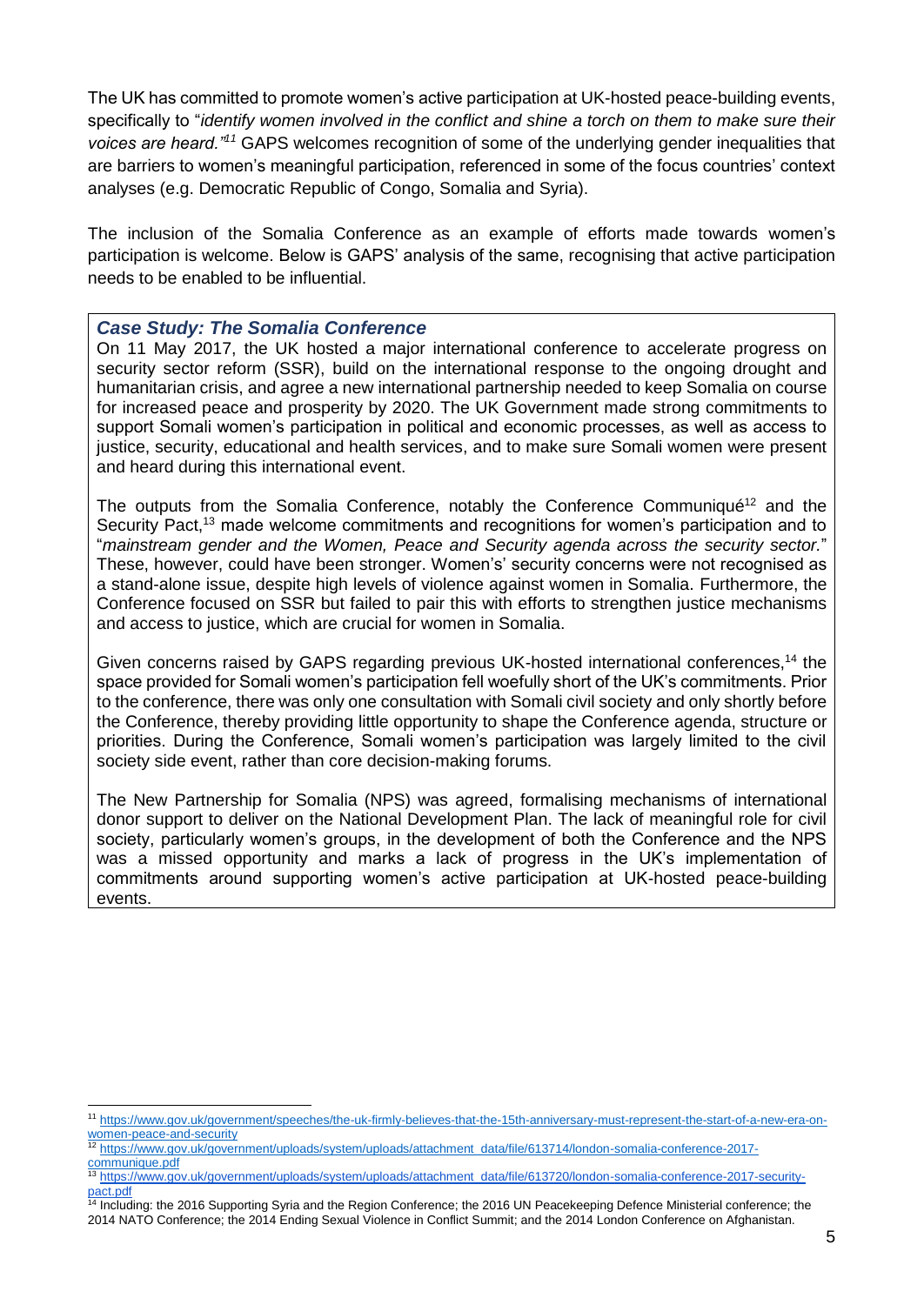The UK has committed to promote women's active participation at UK-hosted peace-building events, specifically to "*identify women involved in the conflict and shine a torch on them to make sure their voices are heard."<sup>11</sup>* GAPS welcomes recognition of some of the underlying gender inequalities that are barriers to women's meaningful participation, referenced in some of the focus countries' context analyses (e.g. Democratic Republic of Congo, Somalia and Syria).

The inclusion of the Somalia Conference as an example of efforts made towards women's participation is welcome. Below is GAPS' analysis of the same, recognising that active participation needs to be enabled to be influential.

#### <span id="page-5-0"></span>*Case Study: The Somalia Conference*

-

On 11 May 2017, the UK hosted a major international conference to accelerate progress on security sector reform (SSR), build on the international response to the ongoing drought and humanitarian crisis, and agree a new international partnership needed to keep Somalia on course for increased peace and prosperity by 2020. The UK Government made strong commitments to support Somali women's participation in political and economic processes, as well as access to justice, security, educational and health services, and to make sure Somali women were present and heard during this international event.

Th[e](https://www.gov.uk/government/uploads/system/uploads/attachment_data/file/613720/london-somalia-conference-2017-security-pact.pdf) outputs from the Somalia Conference, notably the Conference Communiqué<sup>12</sup> and the Security Pact,<sup>13</sup> made welcome commitments and recognitions for women's participation and to "*mainstream gender and the Women, Peace and Security agenda across the security sector.*" These, however, could have been stronger. Women's' security concerns were not recognised as a stand-alone issue, despite high levels of violence against women in Somalia. Furthermore, the Conference focused on SSR but failed to pair this with efforts to strengthen justice mechanisms and access to justice, which are crucial for women in Somalia.

Given concerns raised by GAPS regarding previous UK-hosted international conferences,<sup>14</sup> the space provided for Somali women's participation fell woefully short of the UK's commitments. Prior to the conference, there was only one consultation with Somali civil society and only shortly before the Conference, thereby providing little opportunity to shape the Conference agenda, structure or priorities. During the Conference, Somali women's participation was largely limited to the civil society side event, rather than core decision-making forums.

The New Partnership for Somalia (NPS) was agreed, formalising mechanisms of international donor support to deliver on the National Development Plan. The lack of meaningful role for civil society, particularly women's groups, in the development of both the Conference and the NPS was a missed opportunity and marks a lack of progress in the UK's implementation of commitments around supporting women's active participation at UK-hosted peace-building events.

<sup>11</sup> [https://www.gov.uk/government/speeches/the-uk-firmly-believes-that-the-15th-anniversary-must-represent-the-start-of-a-new-era-on](https://www.gov.uk/government/speeches/the-uk-firmly-believes-that-the-15th-anniversary-must-represent-the-start-of-a-new-era-on-women-peace-and-security)[women-peace-and-security](https://www.gov.uk/government/speeches/the-uk-firmly-believes-that-the-15th-anniversary-must-represent-the-start-of-a-new-era-on-women-peace-and-security)

<sup>12</sup> [https://www.gov.uk/government/uploads/system/uploads/attachment\\_data/file/613714/london-somalia-conference-2017](https://www.gov.uk/government/uploads/system/uploads/attachment_data/file/613714/london-somalia-conference-2017-communique.pdf) [communique.pdf](https://www.gov.uk/government/uploads/system/uploads/attachment_data/file/613714/london-somalia-conference-2017-communique.pdf)

<sup>13</sup> https://www.gov.uk/government/uploads/system/uploads/attachment\_data/file/613720/london-somalia-conference-2017-securitypact.pdf

<sup>&</sup>lt;sup>14</sup> Including: the 2016 Supporting Syria and the Region Conference; the 2016 UN Peacekeeping Defence Ministerial conference; the 2014 NATO Conference; the 2014 Ending Sexual Violence in Conflict Summit; and the 2014 London Conference on Afghanistan.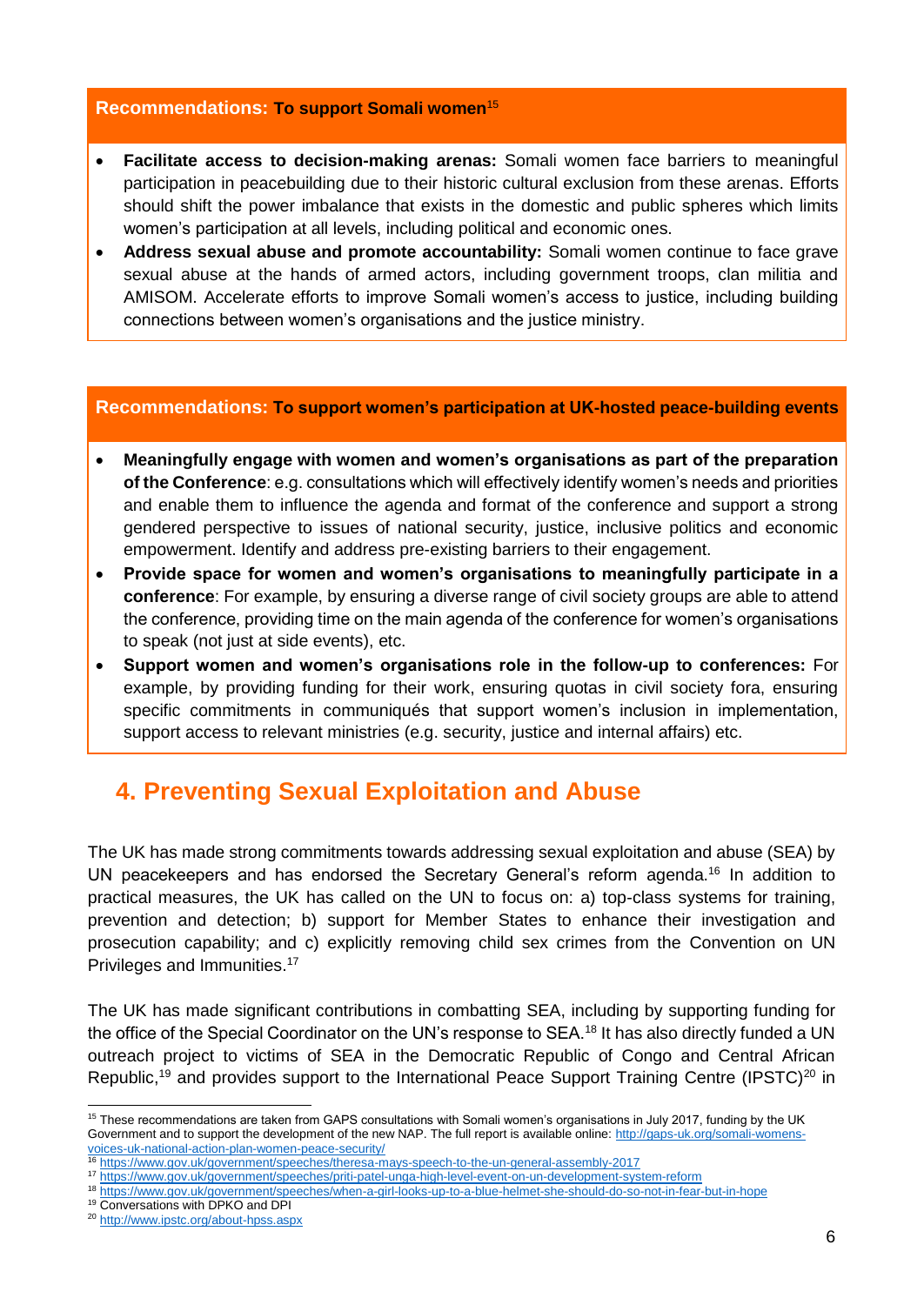#### **Recommendations: To support Somali women**<sup>15</sup>

- **Facilitate access to decision-making arenas:** Somali women face barriers to meaningful participation in peacebuilding due to their historic cultural exclusion from these arenas. Efforts should shift the power imbalance that exists in the domestic and public spheres which limits women's participation at all levels, including political and economic ones.
- **Address sexual abuse and promote accountability:** Somali women continue to face grave sexual abuse at the hands of armed actors, including government troops, clan militia and AMISOM. Accelerate efforts to improve Somali women's access to justice, including building connections between women's organisations and the justice ministry.

#### **Recommendations: To support women's participation at UK-hosted peace-building events**

- **Meaningfully engage with women and women's organisations as part of the preparation of the Conference**: e.g. consultations which will effectively identify women's needs and priorities and enable them to influence the agenda and format of the conference and support a strong gendered perspective to issues of national security, justice, inclusive politics and economic empowerment. Identify and address pre-existing barriers to their engagement.
- **Provide space for women and women's organisations to meaningfully participate in a conference**: For example, by ensuring a diverse range of civil society groups are able to attend the conference, providing time on the main agenda of the conference for women's organisations to speak (not just at side events), etc.
- **Support women and women's organisations role in the follow-up to conferences:** For example, by providing funding for their work, ensuring quotas in civil society fora, ensuring specific commitments in communiqués that support women's inclusion in implementation, support access to relevant ministries (e.g. security, justice and internal affairs) etc.

# <span id="page-6-0"></span>**4. Preventing Sexual Exploitation and Abuse**

The UK has made strong commitments towards addressing sexual exploitation and abuse (SEA) by UN peacekeepers and has endorsed the Secretary General's reform agenda.<sup>16</sup> In addition to practical measures, the UK has called on the UN to focus on: a) top-class systems for training, prevention and detection; b) support for Member States to enhance their investigation and prosecution capability; and c) explicitly removing child sex crimes from the Convention on UN Privileges and Immunities.<sup>17</sup>

The UK has made significant contributions in combatting SEA, including by supporting funding for the office of the Special Coordinator on the UN's response to SEA.<sup>18</sup> It has also directly funded a UN outreach project to victims of SEA in the Democratic Republic of Congo and Central African Republic,<sup>19</sup> and provides support to the International Peace Support Training Centre (IPSTC)<sup>20</sup> in

<sup>&</sup>lt;sup>15</sup> These recommendations are taken from GAPS consultations with Somali women's organisations in July 2017, funding by the UK Government and to support the development of the new NAP. The full report is available online: [http://gaps-uk.org/somali-womens](http://gaps-uk.org/somali-womens-voices-uk-national-action-plan-women-peace-security/)[voices-uk-national-action-plan-women-peace-security/](http://gaps-uk.org/somali-womens-voices-uk-national-action-plan-women-peace-security/) 

<sup>16</sup> <https://www.gov.uk/government/speeches/theresa-mays-speech-to-the-un-general-assembly-2017>

<sup>17</sup> <https://www.gov.uk/government/speeches/priti-patel-unga-high-level-event-on-un-development-system-reform>

<sup>18</sup> <https://www.gov.uk/government/speeches/when-a-girl-looks-up-to-a-blue-helmet-she-should-do-so-not-in-fear-but-in-hope>

<sup>19</sup> Conversations with DPKO and DPI

<sup>20</sup> <http://www.ipstc.org/about-hpss.aspx>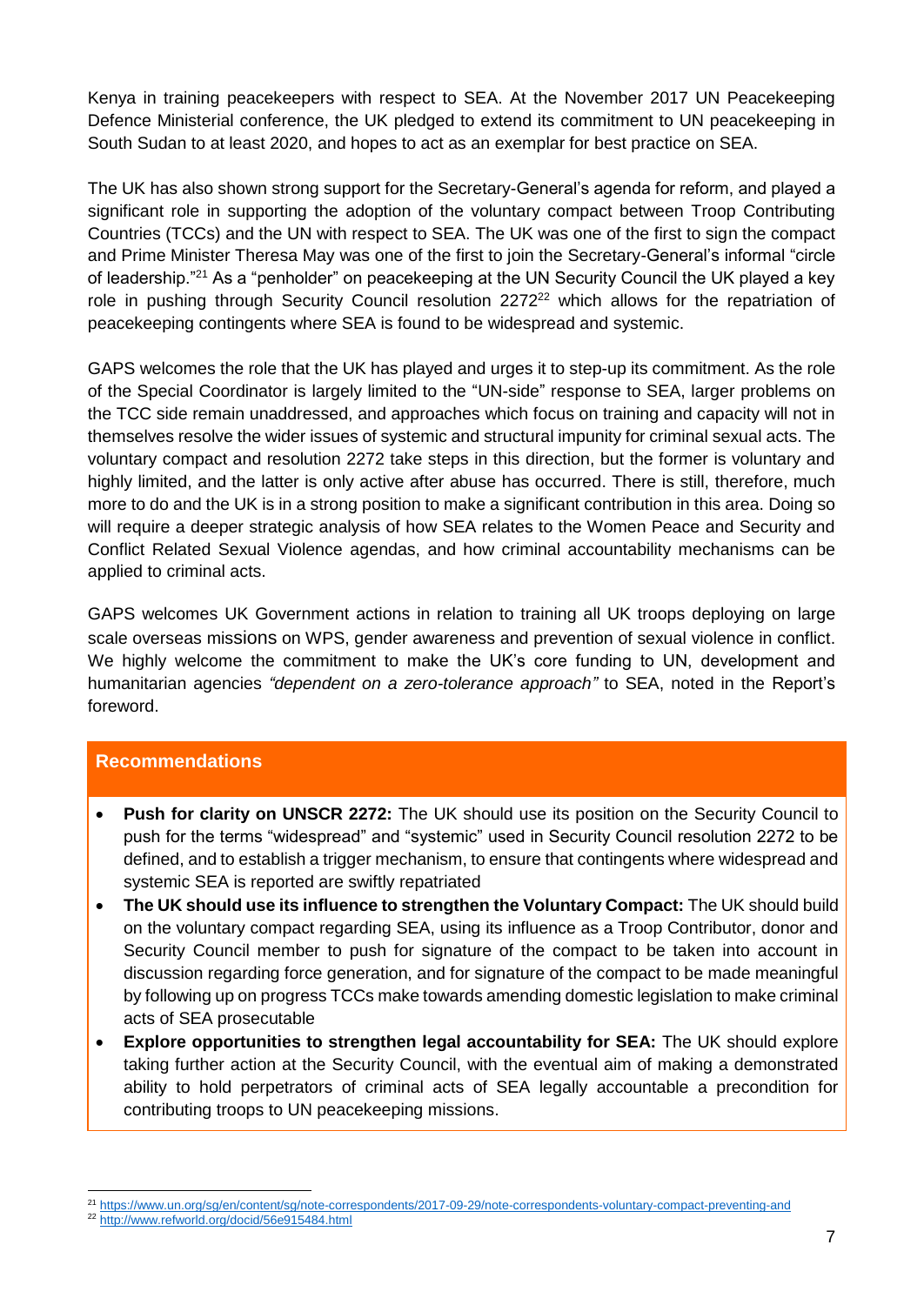Kenya in training peacekeepers with respect to SEA. At the November 2017 UN Peacekeeping Defence Ministerial conference, the UK pledged to extend its commitment to UN peacekeeping in South Sudan to at least 2020, and hopes to act as an exemplar for best practice on SEA.

The UK has also shown strong support for the Secretary-General's agenda for reform, and played a significant role in supporting the adoption of the voluntary compact between Troop Contributing Countries (TCCs) and the UN with respect to SEA. The UK was one of the first to sign the compact and Prime Minister Theresa May was one of the first to join the Secretary-General's informal "circle of leadership."<sup>21</sup> As a "penholder" on peacekeeping at the UN Security Council the UK played a key role in pushing through Security Council resolution 2272<sup>22</sup> which allows for the repatriation of peacekeeping contingents where SEA is found to be widespread and systemic.

GAPS welcomes the role that the UK has played and urges it to step-up its commitment. As the role of the Special Coordinator is largely limited to the "UN-side" response to SEA, larger problems on the TCC side remain unaddressed, and approaches which focus on training and capacity will not in themselves resolve the wider issues of systemic and structural impunity for criminal sexual acts. The voluntary compact and resolution 2272 take steps in this direction, but the former is voluntary and highly limited, and the latter is only active after abuse has occurred. There is still, therefore, much more to do and the UK is in a strong position to make a significant contribution in this area. Doing so will require a deeper strategic analysis of how SEA relates to the Women Peace and Security and Conflict Related Sexual Violence agendas, and how criminal accountability mechanisms can be applied to criminal acts.

GAPS welcomes UK Government actions in relation to training all UK troops deploying on large scale overseas missions on WPS, gender awareness and prevention of sexual violence in conflict. We highly welcome the commitment to make the UK's core funding to UN, development and humanitarian agencies *"dependent on a zero-tolerance approach"* to SEA, noted in the Report's foreword.

### **Recommendations**

- **Push for clarity on UNSCR 2272:** The UK should use its position on the Security Council to push for the terms "widespread" and "systemic" used in Security Council resolution 2272 to be defined, and to establish a trigger mechanism, to ensure that contingents where widespread and systemic SEA is reported are swiftly repatriated
- **The UK should use its influence to strengthen the Voluntary Compact:** The UK should build on the voluntary compact regarding SEA, using its influence as a Troop Contributor, donor and Security Council member to push for signature of the compact to be taken into account in discussion regarding force generation, and for signature of the compact to be made meaningful by following up on progress TCCs make towards amending domestic legislation to make criminal acts of SEA prosecutable
- **Explore opportunities to strengthen legal accountability for SEA:** The UK should explore taking further action at the Security Council, with the eventual aim of making a demonstrated ability to hold perpetrators of criminal acts of SEA legally accountable a precondition for contributing troops to UN peacekeeping missions.

<sup>-</sup><sup>21</sup> <https://www.un.org/sg/en/content/sg/note-correspondents/2017-09-29/note-correspondents-voluntary-compact-preventing-and>

<sup>22</sup> <http://www.refworld.org/docid/56e915484.html>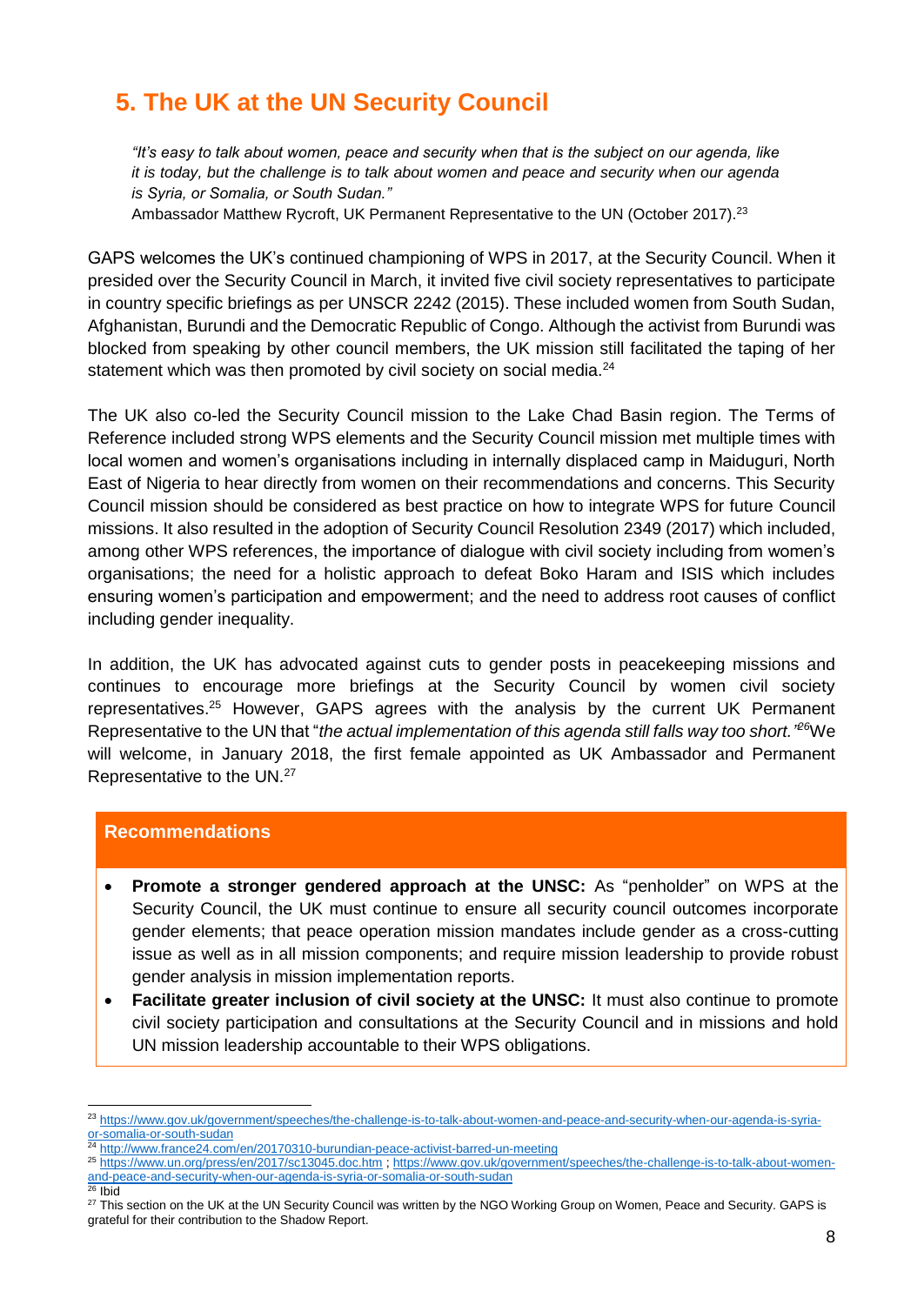# <span id="page-8-0"></span>**5. The UK at the UN Security Council**

*"It's easy to talk about women, peace and security when that is the subject on our agenda, like it is today, but the challenge is to talk about women and peace and security when our agenda is Syria, or Somalia, or South Sudan."*

Ambassador Matthew Rycroft, UK Permanent Representative to the UN (October 2017).<sup>23</sup>

GAPS welcomes the UK's continued championing of WPS in 2017, at the Security Council. When it presided over the Security Council in March, it invited five civil society representatives to participate in country specific briefings as per UNSCR 2242 (2015). These included women from South Sudan, Afghanistan, Burundi and the Democratic Republic of Congo. Although th[e](http://www.france24.com/en/20170310-burundian-peace-activist-barred-un-meeting) activist from Burundi was blocked from speaking by other council members, the UK mission still facilitated the taping of her statement which was then promoted by civil society on social media.<sup>24</sup>

The UK also co-led the Security Council mission to the Lake Chad Basin region. The Terms of Reference included strong WPS elements and the Security Council mission met multiple times with local women and women's organisations including in internally displaced camp in Maiduguri, North East of Nigeria to hear directly from women on their recommendations and concerns. This Security Council mission should be considered as best practice on how to integrate WPS for future Council missions. It also resulted in the adoption of Security Council Resolution 2349 (2017) which included, among other WPS references, the importance of dialogue with civil society including from women's organisations; the need for a holistic approach to defeat Boko Haram and ISIS which includes ensuring women's participation and empowerment; and the need to address root causes of conflict including gender inequality.

In addition, the UK has advocated against cuts to gender posts in peacekeeping missions and continues to encourage more briefings at the Security Council by women civil society representatives.<sup>25</sup> However, GAPS agrees with the analysis by the current UK Permanent Representative to the UN that "*the actual implementation of this agenda still falls way too short." <sup>26</sup>*We will welcome, in January 2018, the first female appointed as UK Ambassador and Permanent Representative to the UN.<sup>27</sup>

#### **Recommendations**

- **Promote a stronger gendered approach at the UNSC:** As "penholder" on WPS at the Security Council, the UK must continue to ensure all security council outcomes incorporate gender elements; that peace operation mission mandates include gender as a cross-cutting issue as well as in all mission components; and require mission leadership to provide robust gender analysis in mission implementation reports.
- **Facilitate greater inclusion of civil society at the UNSC:** It must also continue to promote civil society participation and consultations at the Security Council and in missions and hold UN mission leadership accountable to their WPS obligations.

<sup>23</sup> [https://www.gov.uk/government/speeches/the-challenge-is-to-talk-about-women-and-peace-and-security-when-our-agenda-is-syria](https://www.gov.uk/government/speeches/the-challenge-is-to-talk-about-women-and-peace-and-security-when-our-agenda-is-syria-or-somalia-or-south-sudan)[or-somalia-or-south-sudan](https://www.gov.uk/government/speeches/the-challenge-is-to-talk-about-women-and-peace-and-security-when-our-agenda-is-syria-or-somalia-or-south-sudan)

<sup>24</sup> <http://www.france24.com/en/20170310-burundian-peace-activist-barred-un-meeting>

<sup>25</sup> <https://www.un.org/press/en/2017/sc13045.doc.htm> [; https://www.gov.uk/government/speeches/the-challenge-is-to-talk-about-women](https://www.gov.uk/government/speeches/the-challenge-is-to-talk-about-women-and-peace-and-security-when-our-agenda-is-syria-or-somalia-or-south-sudan)[and-peace-and-security-when-our-agenda-is-syria-or-somalia-or-south-sudan](https://www.gov.uk/government/speeches/the-challenge-is-to-talk-about-women-and-peace-and-security-when-our-agenda-is-syria-or-somalia-or-south-sudan) <sup>26</sup> Ibid

<sup>&</sup>lt;sup>27</sup> This section on the UK at the UN Security Council was written by the NGO Working Group on Women, Peace and Security. GAPS is grateful for their contribution to the Shadow Report.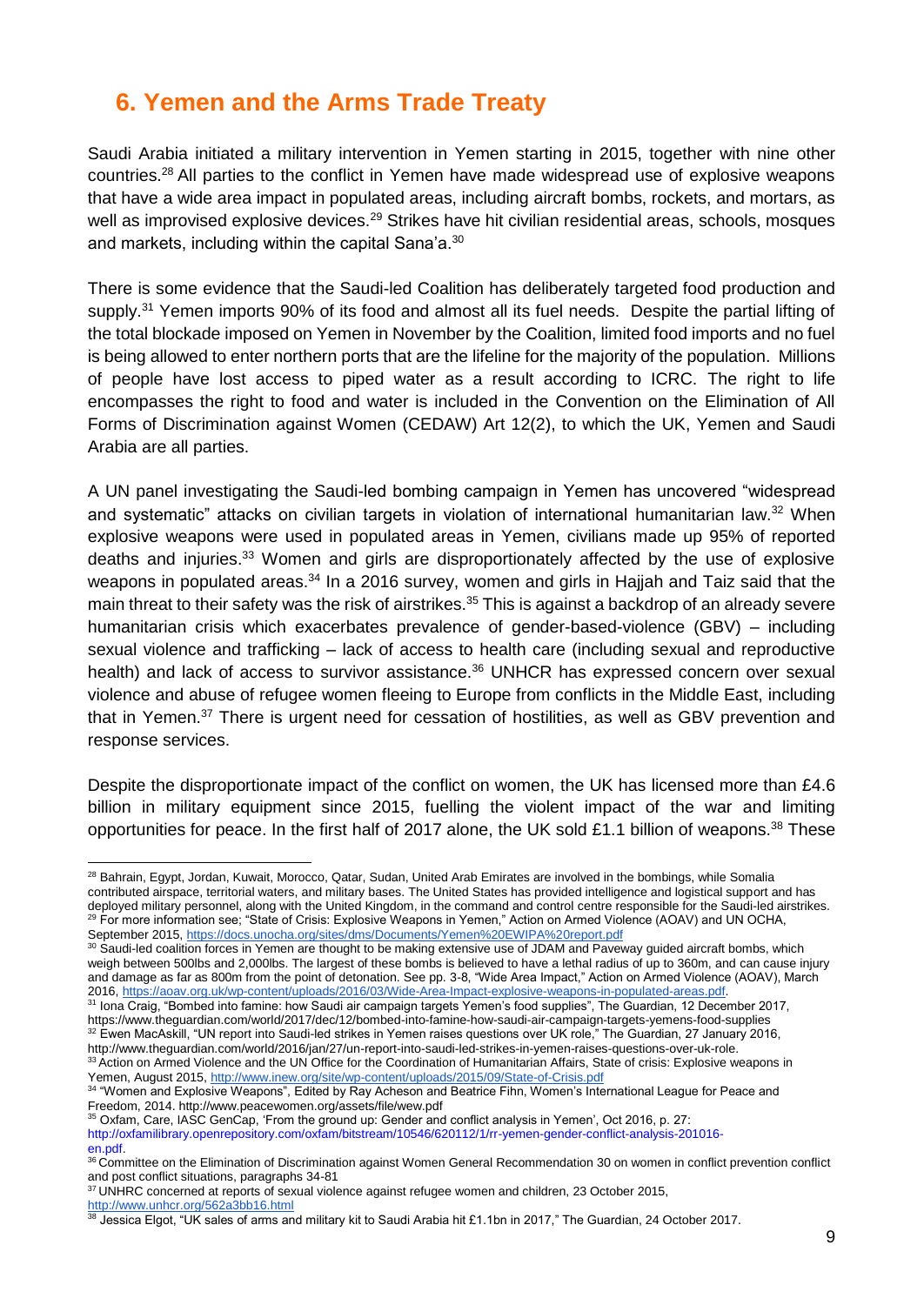# <span id="page-9-0"></span>**6. Yemen and the Arms Trade Treaty**

Saudi Arabia initiated a military intervention in Yemen starting in 2015, together with nine other countries.<sup>28</sup> All parties to the conflict in Yemen have made widespread use of explosive weapons that have a wide area impact in populated areas, including aircraft bombs, rockets, and mortars, as well as improvised explosive devices.<sup>29</sup> Strikes have hit civilian residential areas, schools, mosques and markets, including within the capital Sana'a.<sup>30</sup>

There is some evidence that the Saudi-led Coalition has deliberately targeted food production and supply.<sup>31</sup> Yemen imports 90% of its food and almost all its fuel needs. Despite the partial lifting of the total blockade imposed on Yemen in November by the Coalition, limited food imports and no fuel is being allowed to enter northern ports that are the lifeline for the majority of the population. Millions of people have lost access to piped water as a result according to ICRC. The right to life encompasses the right to food and water is included in the Convention on the Elimination of All Forms of Discrimination against Women (CEDAW) Art 12(2), to which the UK, Yemen and Saudi Arabia are all parties.

A UN panel investigating the Saudi-led bombing campaign in Yemen has uncovered "widespread and systematic" attacks on civilian targets in violation of international humanitarian law.<sup>32</sup> When explosive weapons were used in populated areas in Yemen, civilians made up 95% of reported deaths and injuries.<sup>33</sup> Women and girls are disproportionately affected by the use of explosive weapons in populated areas.<sup>34</sup> In a 2016 survey, women and girls in Hajjah and Taiz said that the main threat to their safety was the risk of airstrikes.<sup>35</sup> This is against a backdrop of an already severe humanitarian crisis which exacerbates prevalence of gender-based-violence (GBV) – including sexual violence and trafficking – lack of access to health care (including sexual and reproductive health) and lack of access to survivor assistance.<sup>36</sup> UNHCR has expressed concern over sexual violence and abuse of refugee women fleeing to Europe from conflicts in the Middle East, including that in Yemen.<sup>37</sup> There is urgent need for cessation of hostilities, as well as GBV prevention and response services.

Despite the disproportionate impact of the conflict on women, the UK has licensed more than £4.6 billion in military equipment since 2015, fuelling the violent impact of the war and limiting opportunities for peace. In the first half of 2017 alone, the UK sold £1.1 billion of weapons.<sup>38</sup> These

<sup>31</sup> Iona Craig, "Bombed into famine: how Saudi air campaign targets Yemen's food supplies", The Guardian, 12 December 2017, https://www.theguardian.com/world/2017/dec/12/bombed-into-famine-how-saudi-air-campaign-targets-yemens-food-supplies  $32$  Ewen MacAskill, "UN report into Saudi-led strikes in Yemen raises questions over UK role," The Guardian, 27 January 2016, http://www.theguardian.com/world/2016/jan/27/un-report-into-saudi-led-strikes-in-yemen-raises-questions-over-uk-role. 33 Action on Armed Violence and the UN Office for the Coordination of Humanitarian Affairs, State of crisis: Explosive weapons in Yemen, August 2015,<http://www.inew.org/site/wp-content/uploads/2015/09/State-of-Crisis.pdf>

35 Oxfam, Care, IASC GenCap, 'From the ground up: Gender and conflict analysis in Yemen', Oct 2016, p. 27: [http://oxfamilibrary.openrepository.com/oxfam/bitstream/10546/620112/1/rr-yemen-gender-conflict-analysis-201016](http://oxfamilibrary.openrepository.com/oxfam/bitstream/10546/620112/1/rr-yemen-gender-conflict-analysis-201016-) en.pdf.

-

 $38$  Jessica Elgot, "UK sales of arms and military kit to Saudi Arabia hit £1.1bn in 2017," The Guardian, 24 October 2017.

<sup>&</sup>lt;sup>28</sup> Bahrain, Egypt, Jordan, Kuwait, Morocco, Qatar, Sudan, United Arab Emirates are involved in the bombings, while Somalia contributed airspace, territorial waters, and military bases. The United States has provided intelligence and logistical support and has deployed military personnel, along with the United Kingdom, in the command and control centre responsible for the Saudi-led airstrikes. <sup>29</sup> For more information see; "State of Crisis: Explosive Weapons in Yemen," Action on Armed Violence (AOAV) and UN OCHA, September 2015, <https://docs.unocha.org/sites/dms/Documents/Yemen%20EWIPA%20report.pdf>

<sup>&</sup>lt;sup>30</sup> Saudi-led coalition forces in Yemen are thought to be making extensive use of JDAM and Paveway quided aircraft bombs, which weigh between 500lbs and 2,000lbs. The largest of these bombs is believed to have a lethal radius of up to 360m, and can cause injury and damage as far as 800m from the point of detonation. See pp. 3-8, "Wide Area Impact," Action on Armed Violence (AOAV), March 201[6,](https://aoav.org.uk/wp-content/uploads/2016/03/Wide-Area-Impact-explosive-weapons-in-populated-areas.pdf) [https://aoav.org.uk/wp-content/uploads/2016/03/Wide-Area-Impact-explosive-weapons-in-populated-areas.pdf.](https://aoav.org.uk/wp-content/uploads/2016/03/Wide-Area-Impact-explosive-weapons-in-populated-areas.pdf)

<sup>34</sup> "Women and Explosive Weapons", Edited by Ray Acheson and Beatrice Fihn, Women's International League for Peace and Freedom, 2014. http://www.peacewomen.org/assets/file/wew.pdf

<sup>&</sup>lt;sup>36</sup> Committee on the Elimination of Discrimination against Women General Recommendation 30 on women in conflict prevention conflict and post conflict situations, paragraphs 34-81

<sup>&</sup>lt;sup>37</sup> UNHRC concerned at reports of sexual violence against refugee women and children, 23 October 2015, <http://www.unhcr.org/562a3bb16.html>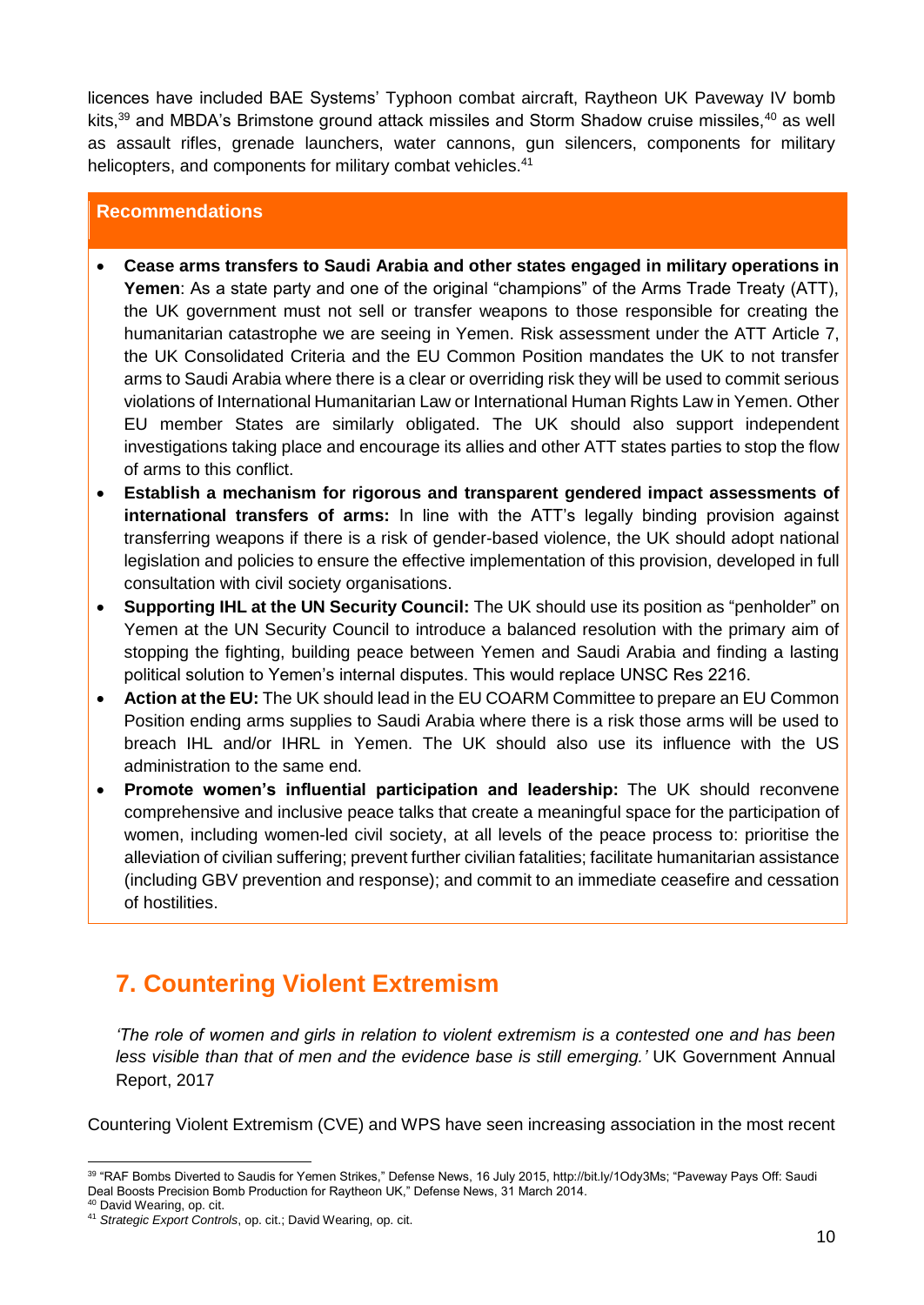licences have included BAE Systems' Typhoon combat aircraft, Raytheon UK Paveway IV bomb kits,<sup>39</sup> and MBDA's Brimstone ground attack missiles and Storm Shadow cruise missiles,<sup>40</sup> as well as assault rifles, grenade launchers, water cannons, gun silencers, components for military helicopters, and components for military combat vehicles.<sup>41</sup>

### **Recommendations**

- **Cease arms transfers to Saudi Arabia and other states engaged in military operations in Yemen**: As a state party and one of the original "champions" of the Arms Trade Treaty (ATT), the UK government must not sell or transfer weapons to those responsible for creating the humanitarian catastrophe we are seeing in Yemen. Risk assessment under the ATT Article 7, the UK Consolidated Criteria and the EU Common Position mandates the UK to not transfer arms to Saudi Arabia where there is a clear or overriding risk they will be used to commit serious violations of International Humanitarian Law or International Human Rights Law in Yemen. Other EU member States are similarly obligated. The UK should also support independent investigations taking place and encourage its allies and other ATT states parties to stop the flow of arms to this conflict.
- **Establish a mechanism for rigorous and transparent gendered impact assessments of international transfers of arms:** In line with the ATT's legally binding provision against transferring weapons if there is a risk of gender-based violence, the UK should adopt national legislation and policies to ensure the effective implementation of this provision, developed in full consultation with civil society organisations.
- **Supporting IHL at the UN Security Council:** The UK should use its position as "penholder" on Yemen at the UN Security Council to introduce a balanced resolution with the primary aim of stopping the fighting, building peace between Yemen and Saudi Arabia and finding a lasting political solution to Yemen's internal disputes. This would replace UNSC Res 2216.
- **Action at the EU:** The UK should lead in the EU COARM Committee to prepare an EU Common Position ending arms supplies to Saudi Arabia where there is a risk those arms will be used to breach IHL and/or IHRL in Yemen. The UK should also use its influence with the US administration to the same end.
- **Promote women's influential participation and leadership:** The UK should reconvene comprehensive and inclusive peace talks that create a meaningful space for the participation of women, including women-led civil society, at all levels of the peace process to: prioritise the alleviation of civilian suffering; prevent further civilian fatalities; facilitate humanitarian assistance (including GBV prevention and response); and commit to an immediate ceasefire and cessation of hostilities.

# <span id="page-10-0"></span>**7. Countering Violent Extremism**

*'The role of women and girls in relation to violent extremism is a contested one and has been less visible than that of men and the evidence base is still emerging.'* UK Government Annual Report, 2017

Countering Violent Extremism (CVE) and WPS have seen increasing association in the most recent

<sup>-</sup><sup>39</sup> "RAF Bombs Diverted to Saudis for Yemen Strikes," Defense News, 16 July 2015, http://bit.ly/1Ody3Ms; "Paveway Pays Off: Saudi Deal Boosts Precision Bomb Production for Raytheon UK," Defense News, 31 March 2014.

<sup>40</sup> David Wearing, op. cit.

<sup>41</sup> *Strategic Export Controls*, op. cit.; David Wearing, op. cit.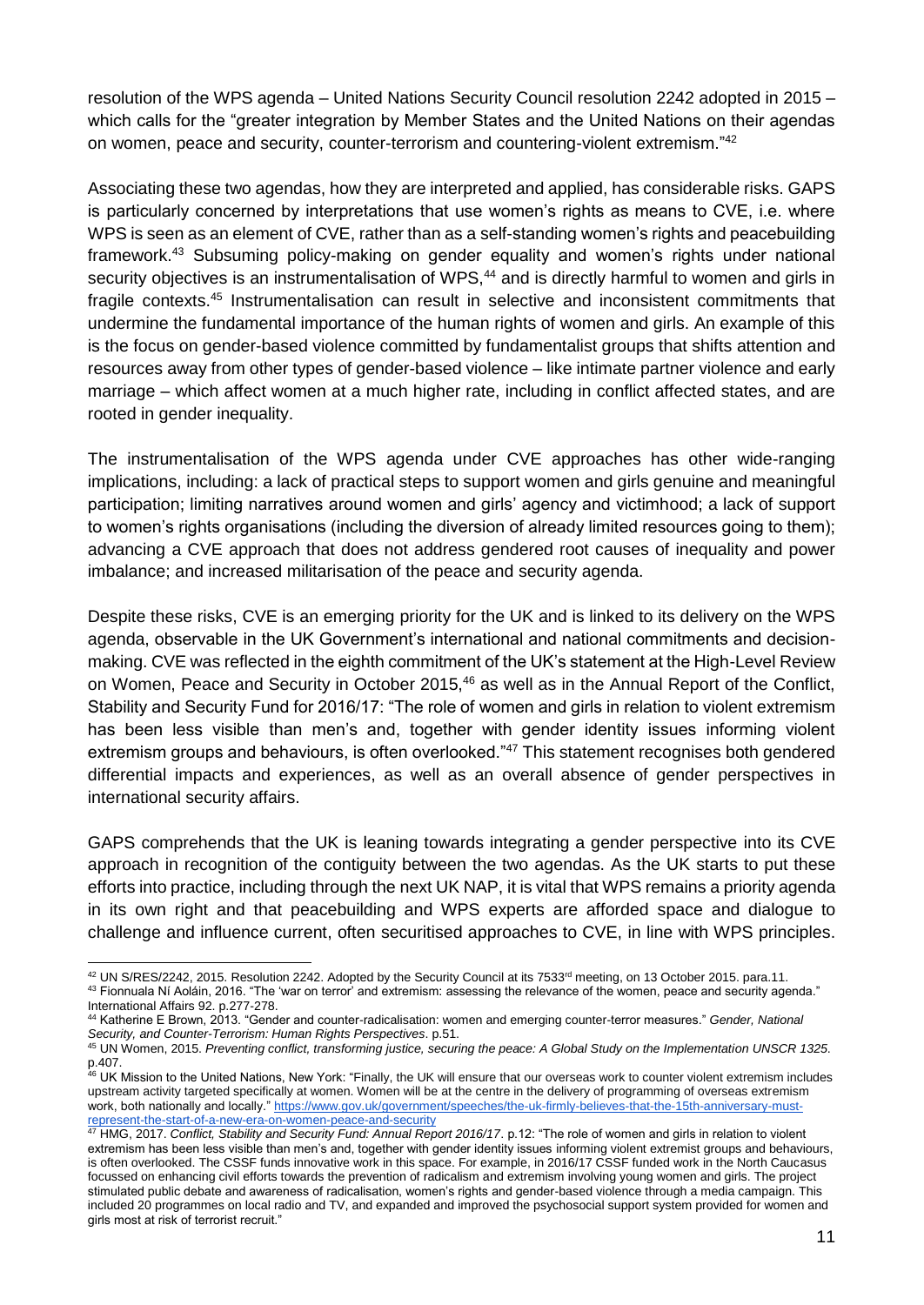resolution of the WPS agenda – United Nations Security Council resolution 2242 adopted in 2015 – which calls for the "greater integration by Member States and the United Nations on their agendas on women, peace and security, counter-terrorism and countering-violent extremism."<sup>42</sup>

Associating these two agendas, how they are interpreted and applied, has considerable risks. GAPS is particularly concerned by interpretations that use women's rights as means to CVE, i.e. where WPS is seen as an element of CVE, rather than as a self-standing women's rights and peacebuilding framework.<sup>43</sup> Subsuming policy-making on gender equality and women's rights under national security objectives is an instrumentalisation of WPS,<sup>44</sup> and is directly harmful to women and girls in fragile contexts.<sup>45</sup> Instrumentalisation can result in selective and inconsistent commitments that undermine the fundamental importance of the human rights of women and girls. An example of this is the focus on gender-based violence committed by fundamentalist groups that shifts attention and resources away from other types of gender-based violence – like intimate partner violence and early marriage – which affect women at a much higher rate, including in conflict affected states, and are rooted in gender inequality.

The instrumentalisation of the WPS agenda under CVE approaches has other wide-ranging implications, including: a lack of practical steps to support women and girls genuine and meaningful participation; limiting narratives around women and girls' agency and victimhood; a lack of support to women's rights organisations (including the diversion of already limited resources going to them); advancing a CVE approach that does not address gendered root causes of inequality and power imbalance; and increased militarisation of the peace and security agenda.

Despite these risks, CVE is an emerging priority for the UK and is linked to its delivery on the WPS agenda, observable in the UK Government's international and national commitments and decisionmaking. CVE was reflected in the eighth commitment of the UK's statement at the High-Level Review on Women, Peace and Security in October 2015,<sup>46</sup> as well as in the Annual Report of the Conflict, Stability and Security Fund for 2016/17: "The role of women and girls in relation to violent extremism has been less visible than men's and, together with gender identity issues informing violent extremism groups and behaviours, is often overlooked."<sup>47</sup> This statement recognises both gendered differential impacts and experiences, as well as an overall absence of gender perspectives in international security affairs.

GAPS comprehends that the UK is leaning towards integrating a gender perspective into its CVE approach in recognition of the contiguity between the two agendas. As the UK starts to put these efforts into practice, including through the next UK NAP, it is vital that WPS remains a priority agenda in its own right and that peacebuilding and WPS experts are afforded space and dialogue to challenge and influence current, often securitised approaches to CVE, in line with WPS principles.

 $^{42}$  UN S/RES/2242, 2015. Resolution 2242. Adopted by the Security Council at its 7533<sup>rd</sup> meeting, on 13 October 2015. para.11. 43 Fionnuala Ní Aoláin, 2016. "The 'war on terror' and extremism: assessing the relevance of the women, peace and security agenda." International Affairs 92. p.277-278.

<sup>44</sup> Katherine E Brown, 2013. "Gender and counter-radicalisation: women and emerging counter-terror measures." *Gender, National Security, and Counter-Terrorism: Human Rights Perspectives*. p.51.

<sup>45</sup> UN Women, 2015. *Preventing conflict, transforming justice, securing the peace: A Global Study on the Implementation UNSCR 1325*. p.407.

<sup>&</sup>lt;sup>46</sup> UK Mission to the United Nations, New York: "Finally, the UK will ensure that our overseas work to counter violent extremism includes upstream activity targeted specifically at women. Women will be at the centre in the delivery of programming of overseas extremism work, both nationally and locally." [https://www.gov.uk/government/speeches/the-uk-firmly-believes-that-the-15th-anniversary-must](https://www.gov.uk/government/speeches/the-uk-firmly-believes-that-the-15th-anniversary-must-represent-the-start-of-a-new-era-on-women-peace-and-security)[represent-the-start-of-a-new-era-on-women-peace-and-security](https://www.gov.uk/government/speeches/the-uk-firmly-believes-that-the-15th-anniversary-must-represent-the-start-of-a-new-era-on-women-peace-and-security)

<sup>47</sup> HMG, 2017. *Conflict, Stability and Security Fund: Annual Report 2016/17*. p.12: "The role of women and girls in relation to violent extremism has been less visible than men's and, together with gender identity issues informing violent extremist groups and behaviours, is often overlooked. The CSSF funds innovative work in this space. For example, in 2016/17 CSSF funded work in the North Caucasus focussed on enhancing civil efforts towards the prevention of radicalism and extremism involving young women and girls. The project stimulated public debate and awareness of radicalisation, women's rights and gender-based violence through a media campaign. This included 20 programmes on local radio and TV, and expanded and improved the psychosocial support system provided for women and girls most at risk of terrorist recruit."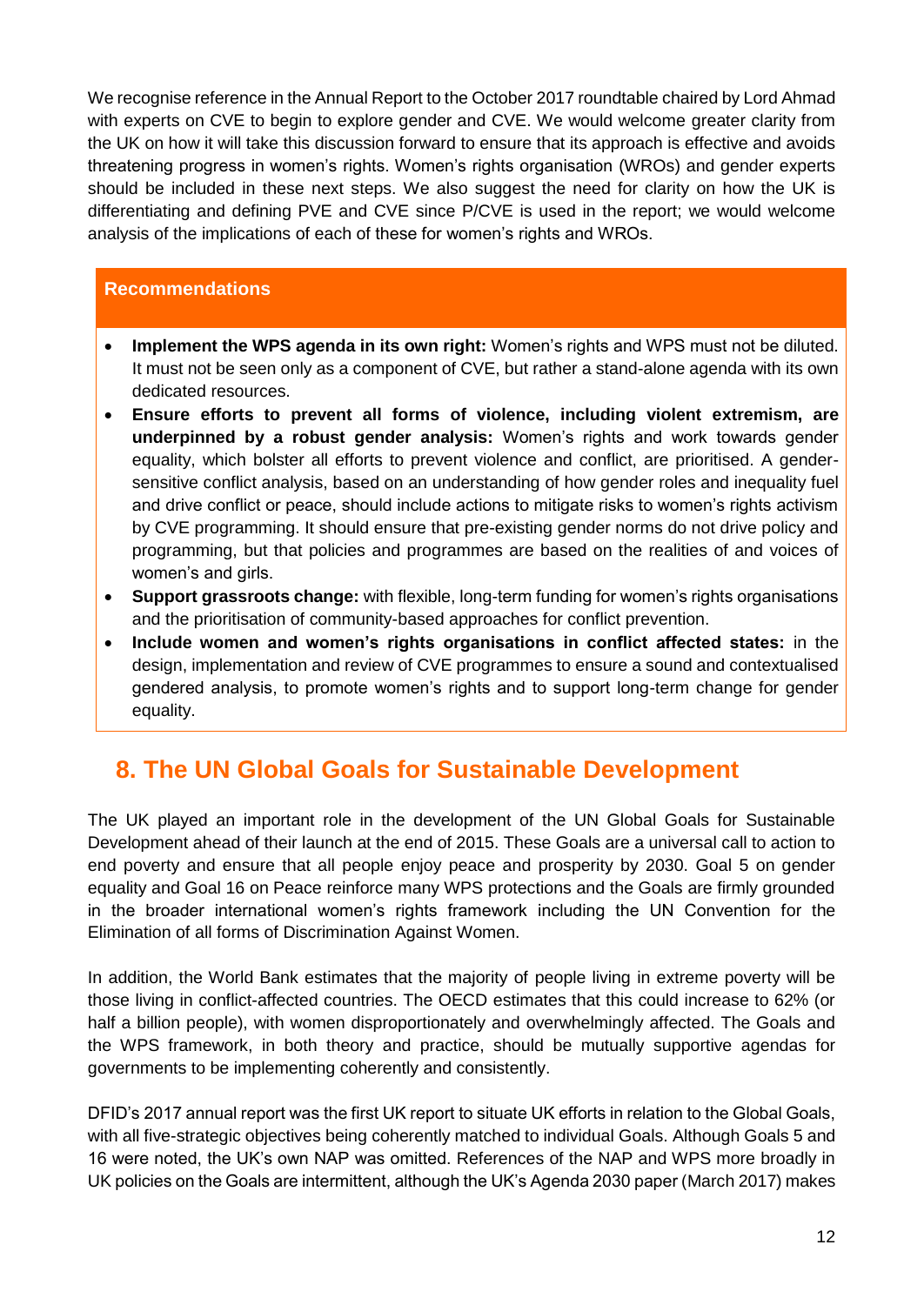We recognise reference in the Annual Report to the October 2017 roundtable chaired by Lord Ahmad with experts on CVE to begin to explore gender and CVE. We would welcome greater clarity from the UK on how it will take this discussion forward to ensure that its approach is effective and avoids threatening progress in women's rights. Women's rights organisation (WROs) and gender experts should be included in these next steps. We also suggest the need for clarity on how the UK is differentiating and defining PVE and CVE since P/CVE is used in the report; we would welcome analysis of the implications of each of these for women's rights and WROs.

### **Recommendations**

- **Implement the WPS agenda in its own right:** Women's rights and WPS must not be diluted. It must not be seen only as a component of CVE, but rather a stand-alone agenda with its own dedicated resources.
- **Ensure efforts to prevent all forms of violence, including violent extremism, are underpinned by a robust gender analysis:** Women's rights and work towards gender equality, which bolster all efforts to prevent violence and conflict, are prioritised. A gendersensitive conflict analysis, based on an understanding of how gender roles and inequality fuel and drive conflict or peace, should include actions to mitigate risks to women's rights activism by CVE programming. It should ensure that pre-existing gender norms do not drive policy and programming, but that policies and programmes are based on the realities of and voices of women's and girls.
- **Support grassroots change:** with flexible, long-term funding for women's rights organisations and the prioritisation of community-based approaches for conflict prevention.
- **Include women and women's rights organisations in conflict affected states:** in the design, implementation and review of CVE programmes to ensure a sound and contextualised gendered analysis, to promote women's rights and to support long-term change for gender equality.

# <span id="page-12-0"></span>**8. The UN Global Goals for Sustainable Development**

The UK played an important role in the development of the UN Global Goals for Sustainable Development ahead of their launch at the end of 2015. These Goals are a universal call to action to end poverty and ensure that all people enjoy peace and prosperity by 2030. Goal 5 on gender equality and Goal 16 on Peace reinforce many WPS protections and the Goals are firmly grounded in the broader international women's rights framework including the UN Convention for the Elimination of all forms of Discrimination Against Women.

In addition, the World Bank estimates that the majority of people living in extreme poverty will be those living in conflict-affected countries. The OECD estimates that this could increase to 62% (or half a billion people), with women disproportionately and overwhelmingly affected. The Goals and the WPS framework, in both theory and practice, should be mutually supportive agendas for governments to be implementing coherently and consistently.

DFID's 2017 annual report was the first UK report to situate UK efforts in relation to the Global Goals, with all five-strategic objectives being coherently matched to individual Goals. Although Goals 5 and 16 were noted, the UK's own NAP was omitted. References of the NAP and WPS more broadly in UK policies on the Goals are intermittent, although the UK's Agenda 2030 paper (March 2017) makes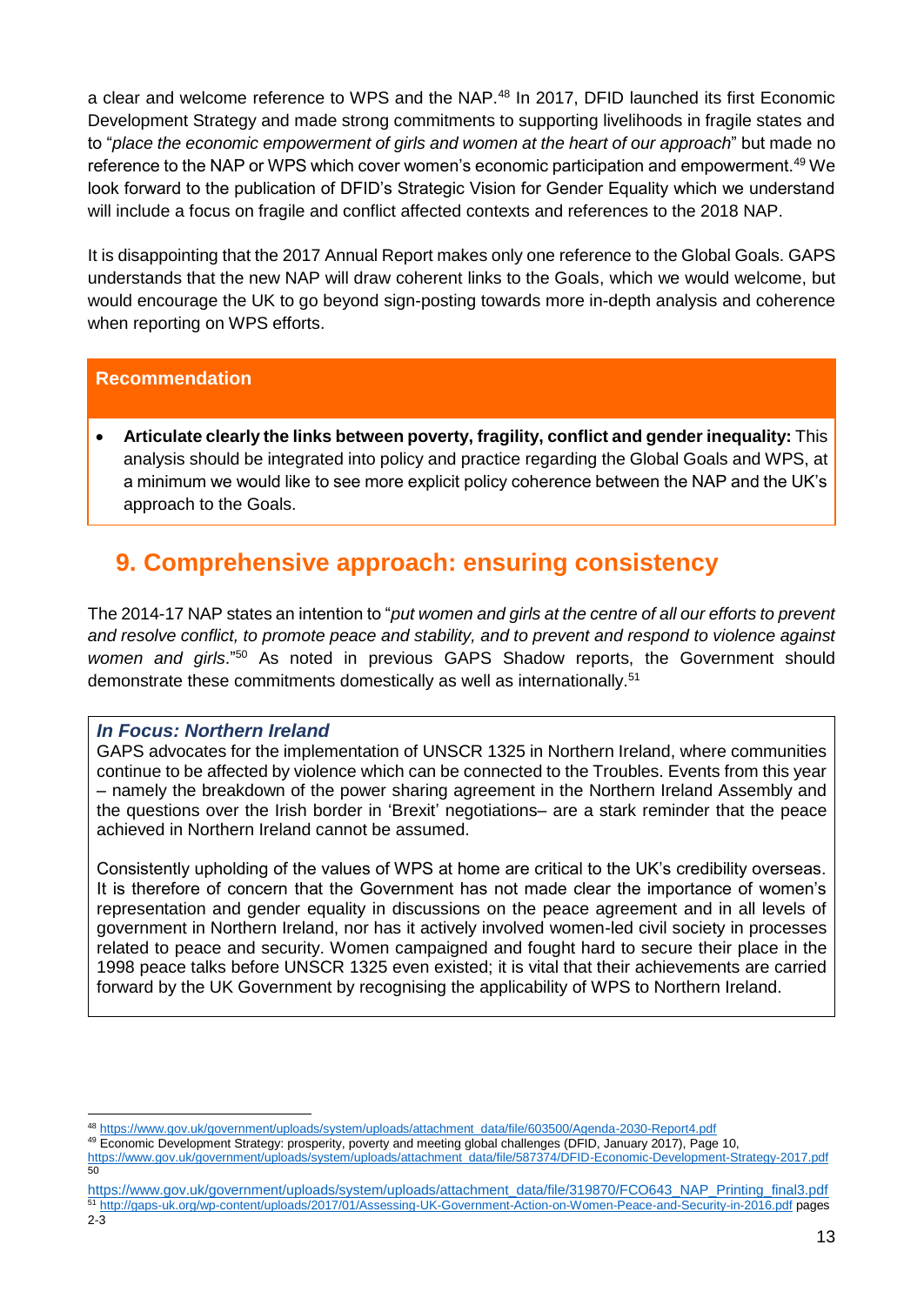a clear and welcome reference to WPS and the NAP.<sup>48</sup> In 2017, DFID launched its first Economic Development Strategy and made strong commitments to supporting livelihoods in fragile states and to "*place the economic empowerment of girls and women at the heart of our approach*" but made no reference to the NAP or WPS which cover women's economic participation and empowerment.<sup>49</sup> We look forward to the publication of DFID's Strategic Vision for Gender Equality which we understand will include a focus on fragile and conflict affected contexts and references to the 2018 NAP.

It is disappointing that the 2017 Annual Report makes only one reference to the Global Goals. GAPS understands that the new NAP will draw coherent links to the Goals, which we would welcome, but would encourage the UK to go beyond sign-posting towards more in-depth analysis and coherence when reporting on WPS efforts.

### **Recommendation**

• **Articulate clearly the links between poverty, fragility, conflict and gender inequality:** This analysis should be integrated into policy and practice regarding the Global Goals and WPS, at a minimum we would like to see more explicit policy coherence between the NAP and the UK's approach to the Goals.

# <span id="page-13-0"></span>**9. Comprehensive approach: ensuring consistency**

The 2014-17 NAP states an intention to "*put women and girls at the centre of all our efforts to prevent and resolve conflict, to promote peace and stability, and to prevent and respond to violence against*  women and girls."<sup>50</sup> As noted in previous GAPS Shadow reports, the Government should demonstrate these commitments domestically as well as internationally.<sup>51</sup>

### <span id="page-13-1"></span>*In Focus: Northern Ireland*

GAPS advocates for the implementation of UNSCR 1325 in Northern Ireland, where communities continue to be affected by violence which can be connected to the Troubles. Events from this year – namely the breakdown of the power sharing agreement in the Northern Ireland Assembly and the questions over the Irish border in 'Brexit' negotiations– are a stark reminder that the peace achieved in Northern Ireland cannot be assumed.

Consistently upholding of the values of WPS at home are critical to the UK's credibility overseas. It is therefore of concern that the Government has not made clear the importance of women's representation and gender equality in discussions on the peace agreement and in all levels of government in Northern Ireland, nor has it actively involved women-led civil society in processes related to peace and security. Women campaigned and fought hard to secure their place in the 1998 peace talks before UNSCR 1325 even existed; it is vital that their achievements are carried forward by the UK Government by recognising the applicability of WPS to Northern Ireland.

[https://www.gov.uk/government/uploads/system/uploads/attachment\\_data/file/319870/FCO643\\_NAP\\_Printing\\_final3.pdf](https://www.gov.uk/government/uploads/system/uploads/attachment_data/file/319870/FCO643_NAP_Printing_final3.pdf) <sup>51</sup> <http://gaps-uk.org/wp-content/uploads/2017/01/Assessing-UK-Government-Action-on-Women-Peace-and-Security-in-2016.pdf> pages

<sup>-</sup><sup>48</sup> [https://www.gov.uk/government/uploads/system/uploads/attachment\\_data/file/603500/Agenda-2030-Report4.pdf](https://www.gov.uk/government/uploads/system/uploads/attachment_data/file/603500/Agenda-2030-Report4.pdf)

<sup>49</sup> Economic Development Strategy: prosperity, poverty and meeting global challenges (DFID, January 2017), Page 10,

[https://www.gov.uk/government/uploads/system/uploads/attachment\\_data/file/587374/DFID-Economic-Development-Strategy-2017.pdf](https://www.gov.uk/government/uploads/system/uploads/attachment_data/file/587374/DFID-Economic-Development-Strategy-2017.pdf) 50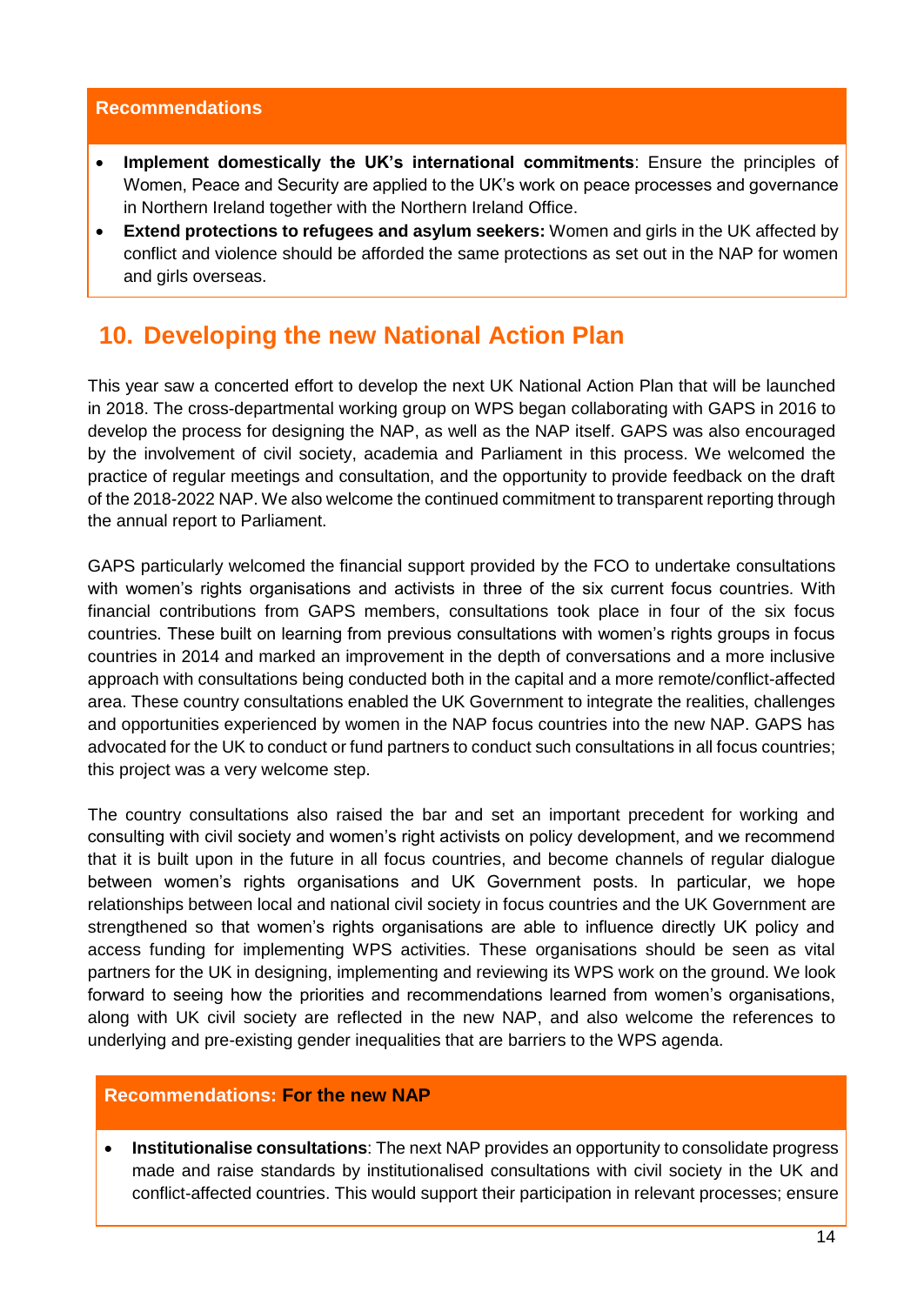#### **Recommendations**

- **Implement domestically the UK's international commitments**: Ensure the principles of Women, Peace and Security are applied to the UK's work on peace processes and governance in Northern Ireland together with the Northern Ireland Office.
- **Extend protections to refugees and asylum seekers:** Women and girls in the UK affected by conflict and violence should be afforded the same protections as set out in the NAP for women and girls overseas.

# <span id="page-14-0"></span>**10. Developing the new National Action Plan**

This year saw a concerted effort to develop the next UK National Action Plan that will be launched in 2018. The cross-departmental working group on WPS began collaborating with GAPS in 2016 to develop the process for designing the NAP, as well as the NAP itself. GAPS was also encouraged by the involvement of civil society, academia and Parliament in this process. We welcomed the practice of regular meetings and consultation, and the opportunity to provide feedback on the draft of the 2018-2022 NAP. We also welcome the continued commitment to transparent reporting through the annual report to Parliament.

GAPS particularly welcomed the financial support provided by the FCO to undertake consultations with women's rights organisations and activists in three of the six current focus countries. With financial contributions from GAPS members, consultations took place in four of the six focus countries. These built on learning from previous consultations with women's rights groups in focus countries in 2014 and marked an improvement in the depth of conversations and a more inclusive approach with consultations being conducted both in the capital and a more remote/conflict-affected area. These country consultations enabled the UK Government to integrate the realities, challenges and opportunities experienced by women in the NAP focus countries into the new NAP. GAPS has advocated for the UK to conduct or fund partners to conduct such consultations in all focus countries; this project was a very welcome step.

The country consultations also raised the bar and set an important precedent for working and consulting with civil society and women's right activists on policy development, and we recommend that it is built upon in the future in all focus countries, and become channels of regular dialogue between women's rights organisations and UK Government posts. In particular, we hope relationships between local and national civil society in focus countries and the UK Government are strengthened so that women's rights organisations are able to influence directly UK policy and access funding for implementing WPS activities. These organisations should be seen as vital partners for the UK in designing, implementing and reviewing its WPS work on the ground. We look forward to seeing how the priorities and recommendations learned from women's organisations, along with UK civil society are reflected in the new NAP, and also welcome the references to underlying and pre-existing gender inequalities that are barriers to the WPS agenda.

### **Recommendations: For the new NAP**

• **Institutionalise consultations**: The next NAP provides an opportunity to consolidate progress made and raise standards by institutionalised consultations with civil society in the UK and conflict-affected countries. This would support their participation in relevant processes; ensure